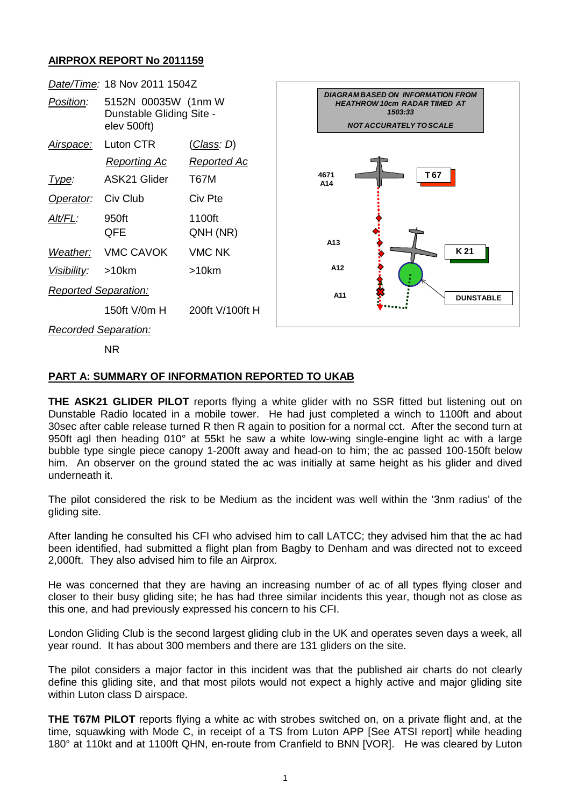## **AIRPROX REPORT No 2011159**

| Date/Time: 18 Nov 2011 1504Z |                                                                 |                    |                                                                                                                              |
|------------------------------|-----------------------------------------------------------------|--------------------|------------------------------------------------------------------------------------------------------------------------------|
| Position:                    | 5152N 00035W (1nm W)<br>Dunstable Gliding Site -<br>elev 500ft) |                    | <b>DIAGRAM BASED ON INFORMATION FROM</b><br><b>HEATHROW 10cm RADAR TIMED AT</b><br>1503:33<br><b>NOT ACCURATELY TO SCALE</b> |
| <u>Airspace:</u>             | Luton CTR                                                       | <u>(Class</u> : D) |                                                                                                                              |
|                              | <b>Reporting Ac</b>                                             | <u>Reported Ac</u> |                                                                                                                              |
| Type:                        | ASK21 Glider                                                    | T67M               | T <sub>67</sub><br>4671<br>A14                                                                                               |
| Operator:                    | Civ Club                                                        | Civ Pte            | A13<br>K21                                                                                                                   |
| Alt/FL:                      | 950ft<br>QFE                                                    | 1100ft<br>QNH (NR) |                                                                                                                              |
| Weather:                     | <b>VMC CAVOK</b>                                                | <b>VMC NK</b>      |                                                                                                                              |
| Visibility:                  | >10km                                                           | $>10$ km           | A12                                                                                                                          |
| <b>Reported Separation:</b>  |                                                                 |                    | A11<br><b>DUNSTABLE</b>                                                                                                      |
|                              | 150ft V/0m H                                                    | 200ft V/100ft H    |                                                                                                                              |
| <b>Recorded Separation:</b>  |                                                                 |                    |                                                                                                                              |

NR

## **PART A: SUMMARY OF INFORMATION REPORTED TO UKAB**

**THE ASK21 GLIDER PILOT** reports flying a white glider with no SSR fitted but listening out on Dunstable Radio located in a mobile tower. He had just completed a winch to 1100ft and about 30sec after cable release turned R then R again to position for a normal cct. After the second turn at 950ft agl then heading 010° at 55kt he saw a white low-wing single-engine light ac with a large bubble type single piece canopy 1-200ft away and head-on to him; the ac passed 100-150ft below him. An observer on the ground stated the ac was initially at same height as his glider and dived underneath it.

The pilot considered the risk to be Medium as the incident was well within the '3nm radius' of the gliding site.

After landing he consulted his CFI who advised him to call LATCC; they advised him that the ac had been identified, had submitted a flight plan from Bagby to Denham and was directed not to exceed 2,000ft. They also advised him to file an Airprox.

He was concerned that they are having an increasing number of ac of all types flying closer and closer to their busy gliding site; he has had three similar incidents this year, though not as close as this one, and had previously expressed his concern to his CFI.

London Gliding Club is the second largest gliding club in the UK and operates seven days a week, all year round. It has about 300 members and there are 131 gliders on the site.

The pilot considers a major factor in this incident was that the published air charts do not clearly define this gliding site, and that most pilots would not expect a highly active and major gliding site within Luton class D airspace.

**THE T67M PILOT** reports flying a white ac with strobes switched on, on a private flight and, at the time, squawking with Mode C, in receipt of a TS from Luton APP [See ATSI report] while heading 180° at 110kt and at 1100ft QHN, en-route from Cranfield to BNN [VOR]. He was cleared by Luton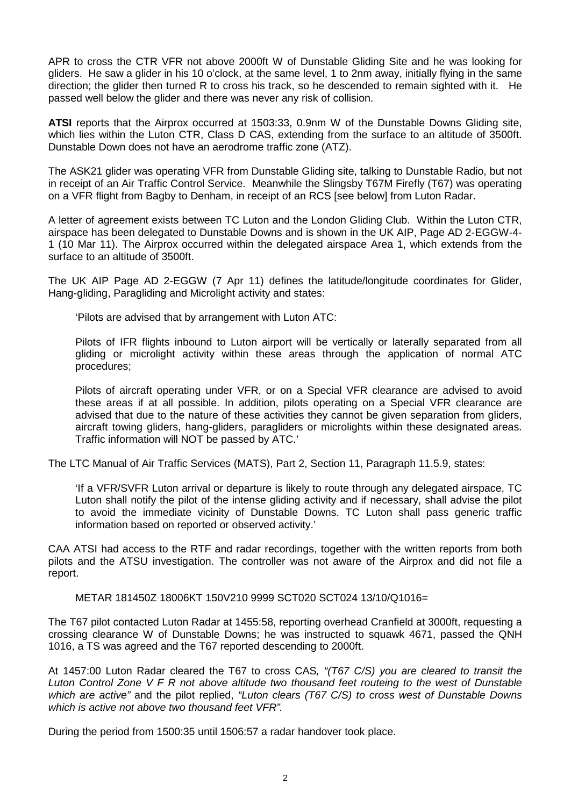APR to cross the CTR VFR not above 2000ft W of Dunstable Gliding Site and he was looking for gliders. He saw a glider in his 10 o'clock, at the same level, 1 to 2nm away, initially flying in the same direction; the glider then turned R to cross his track, so he descended to remain sighted with it. He passed well below the glider and there was never any risk of collision.

**ATSI** reports that the Airprox occurred at 1503:33, 0.9nm W of the Dunstable Downs Gliding site, which lies within the Luton CTR, Class D CAS, extending from the surface to an altitude of 3500ft. Dunstable Down does not have an aerodrome traffic zone (ATZ).

The ASK21 glider was operating VFR from Dunstable Gliding site, talking to Dunstable Radio, but not in receipt of an Air Traffic Control Service. Meanwhile the Slingsby T67M Firefly (T67) was operating on a VFR flight from Bagby to Denham, in receipt of an RCS [see below] from Luton Radar.

A letter of agreement exists between TC Luton and the London Gliding Club. Within the Luton CTR, airspace has been delegated to Dunstable Downs and is shown in the UK AIP, Page AD 2-EGGW-4- 1 (10 Mar 11). The Airprox occurred within the delegated airspace Area 1, which extends from the surface to an altitude of 3500ft.

The UK AIP Page AD 2-EGGW (7 Apr 11) defines the latitude/longitude coordinates for Glider, Hang-gliding, Paragliding and Microlight activity and states:

'Pilots are advised that by arrangement with Luton ATC:

Pilots of IFR flights inbound to Luton airport will be vertically or laterally separated from all gliding or microlight activity within these areas through the application of normal ATC procedures;

Pilots of aircraft operating under VFR, or on a Special VFR clearance are advised to avoid these areas if at all possible. In addition, pilots operating on a Special VFR clearance are advised that due to the nature of these activities they cannot be given separation from gliders, aircraft towing gliders, hang-gliders, paragliders or microlights within these designated areas. Traffic information will NOT be passed by ATC.'

The LTC Manual of Air Traffic Services (MATS), Part 2, Section 11, Paragraph 11.5.9, states:

'If a VFR/SVFR Luton arrival or departure is likely to route through any delegated airspace, TC Luton shall notify the pilot of the intense gliding activity and if necessary, shall advise the pilot to avoid the immediate vicinity of Dunstable Downs. TC Luton shall pass generic traffic information based on reported or observed activity.'

CAA ATSI had access to the RTF and radar recordings, together with the written reports from both pilots and the ATSU investigation. The controller was not aware of the Airprox and did not file a report.

METAR 181450Z 18006KT 150V210 9999 SCT020 SCT024 13/10/Q1016=

The T67 pilot contacted Luton Radar at 1455:58, reporting overhead Cranfield at 3000ft, requesting a crossing clearance W of Dunstable Downs; he was instructed to squawk 4671, passed the QNH 1016, a TS was agreed and the T67 reported descending to 2000ft.

At 1457:00 Luton Radar cleared the T67 to cross CAS*, "(T67 C/S) you are cleared to transit the Luton Control Zone V F R not above altitude two thousand feet routeing to the west of Dunstable which are active"* and the pilot replied, *"Luton clears (T67 C/S) to cross west of Dunstable Downs which is active not above two thousand feet VFR".*

During the period from 1500:35 until 1506:57 a radar handover took place.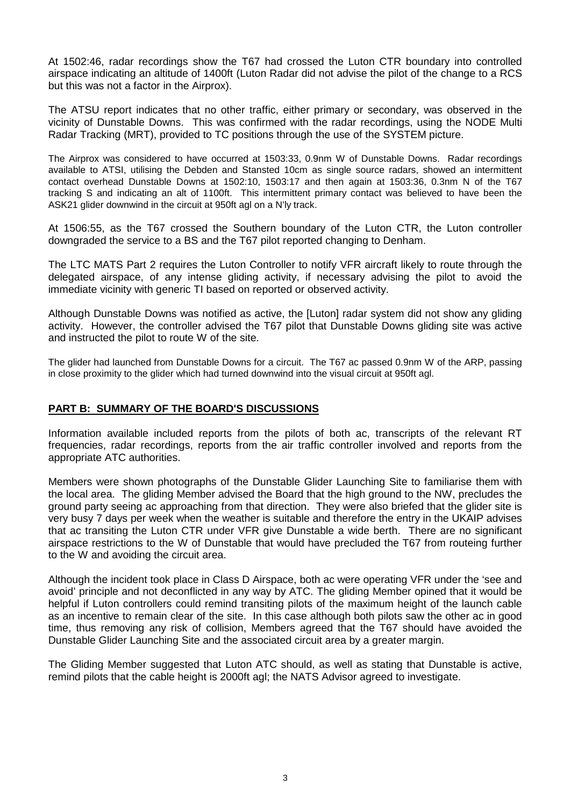At 1502:46, radar recordings show the T67 had crossed the Luton CTR boundary into controlled airspace indicating an altitude of 1400ft (Luton Radar did not advise the pilot of the change to a RCS but this was not a factor in the Airprox).

The ATSU report indicates that no other traffic, either primary or secondary, was observed in the vicinity of Dunstable Downs. This was confirmed with the radar recordings, using the NODE Multi Radar Tracking (MRT), provided to TC positions through the use of the SYSTEM picture.

The Airprox was considered to have occurred at 1503:33, 0.9nm W of Dunstable Downs. Radar recordings available to ATSI, utilising the Debden and Stansted 10cm as single source radars, showed an intermittent contact overhead Dunstable Downs at 1502:10, 1503:17 and then again at 1503:36, 0.3nm N of the T67 tracking S and indicating an alt of 1100ft. This intermittent primary contact was believed to have been the ASK21 glider downwind in the circuit at 950ft agl on a N'ly track.

At 1506:55, as the T67 crossed the Southern boundary of the Luton CTR, the Luton controller downgraded the service to a BS and the T67 pilot reported changing to Denham.

The LTC MATS Part 2 requires the Luton Controller to notify VFR aircraft likely to route through the delegated airspace, of any intense gliding activity, if necessary advising the pilot to avoid the immediate vicinity with generic TI based on reported or observed activity.

Although Dunstable Downs was notified as active, the [Luton] radar system did not show any gliding activity. However, the controller advised the T67 pilot that Dunstable Downs gliding site was active and instructed the pilot to route W of the site.

The glider had launched from Dunstable Downs for a circuit. The T67 ac passed 0.9nm W of the ARP, passing in close proximity to the glider which had turned downwind into the visual circuit at 950ft agl.

## **PART B: SUMMARY OF THE BOARD'S DISCUSSIONS**

Information available included reports from the pilots of both ac, transcripts of the relevant RT frequencies, radar recordings, reports from the air traffic controller involved and reports from the appropriate ATC authorities.

Members were shown photographs of the Dunstable Glider Launching Site to familiarise them with the local area. The gliding Member advised the Board that the high ground to the NW, precludes the ground party seeing ac approaching from that direction. They were also briefed that the glider site is very busy 7 days per week when the weather is suitable and therefore the entry in the UKAIP advises that ac transiting the Luton CTR under VFR give Dunstable a wide berth. There are no significant airspace restrictions to the W of Dunstable that would have precluded the T67 from routeing further to the W and avoiding the circuit area.

Although the incident took place in Class D Airspace, both ac were operating VFR under the 'see and avoid' principle and not deconflicted in any way by ATC. The gliding Member opined that it would be helpful if Luton controllers could remind transiting pilots of the maximum height of the launch cable as an incentive to remain clear of the site. In this case although both pilots saw the other ac in good time, thus removing any risk of collision, Members agreed that the T67 should have avoided the Dunstable Glider Launching Site and the associated circuit area by a greater margin.

The Gliding Member suggested that Luton ATC should, as well as stating that Dunstable is active, remind pilots that the cable height is 2000ft agl; the NATS Advisor agreed to investigate.